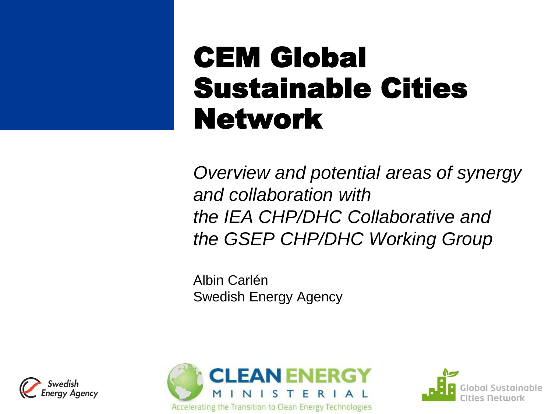### CEM Global Sustainable Cities Network

*Overview and potential areas of synergy and collaboration with the IEA CHP/DHC Collaborative and the GSEP CHP/DHC Working Group*

Albin Carlén Swedish Energy Agency





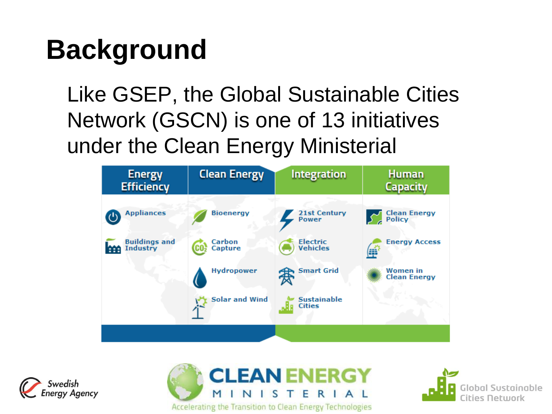### **Background**

Like GSEP, the Global Sustainable Cities Network (GSCN) is one of 13 initiatives under the Clean Energy Ministerial







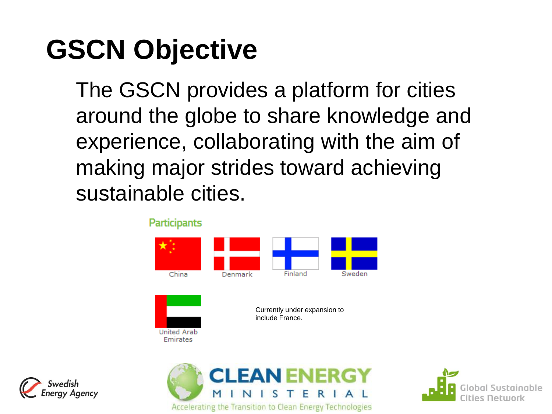## **GSCN Objective**

The GSCN provides a platform for cities around the globe to share knowledge and experience, collaborating with the aim of making major strides toward achieving sustainable cities.

> Participants China Finland Sweden Denmark Currently under expansion to include France.United Arab **Emirates FAN ENER**

Accelerating the Transition to Clean Energy Technologies



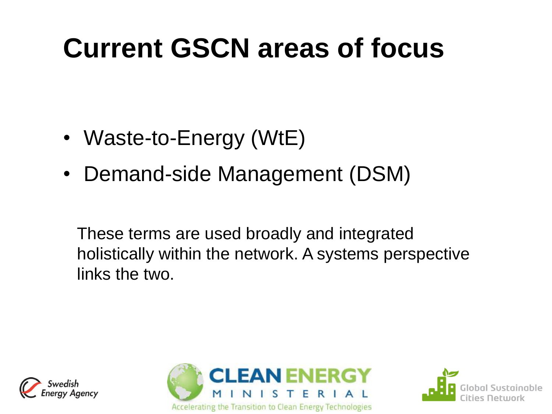## **Current GSCN areas of focus**

- Waste-to-Energy (WtE)
- Demand-side Management (DSM)

These terms are used broadly and integrated holistically within the network. A systems perspective links the two.





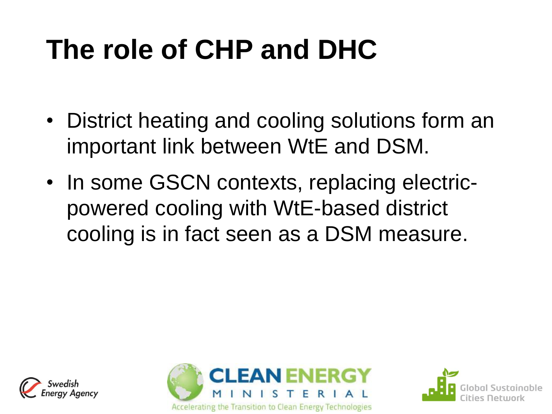# **The role of CHP and DHC**

- District heating and cooling solutions form an important link between WtE and DSM.
- In some GSCN contexts, replacing electricpowered cooling with WtE-based district cooling is in fact seen as a DSM measure.





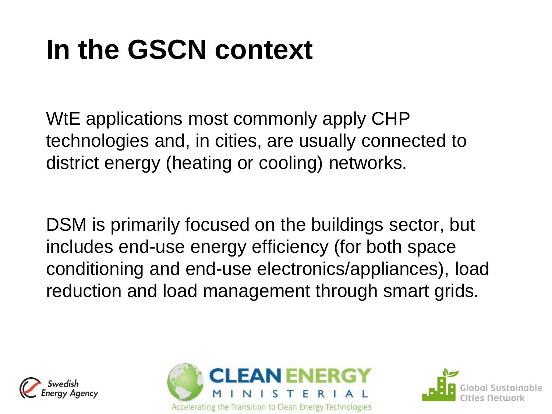# **In the GSCN context**

WtE applications most commonly apply CHP technologies and, in cities, are usually connected to district energy (heating or cooling) networks.

DSM is primarily focused on the buildings sector, but includes end-use energy efficiency (for both space conditioning and end-use electronics/appliances), load reduction and load management through smart grids.





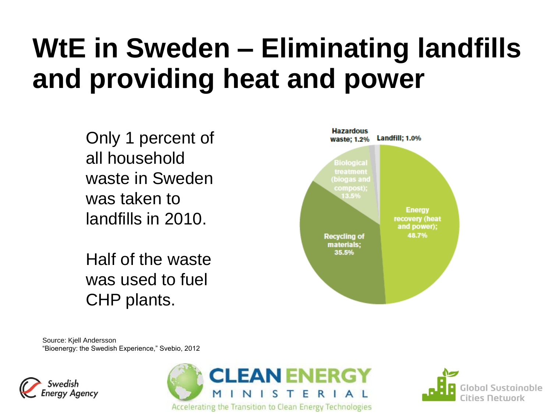### **WtE in Sweden – Eliminating landfills and providing heat and power**

Only 1 percent of all household waste in Sweden was taken to landfills in 2010.

Half of the waste was used to fuel CHP plants.



Source: Kjell Andersson "Bioenergy: the Swedish Experience," Svebio, 2012





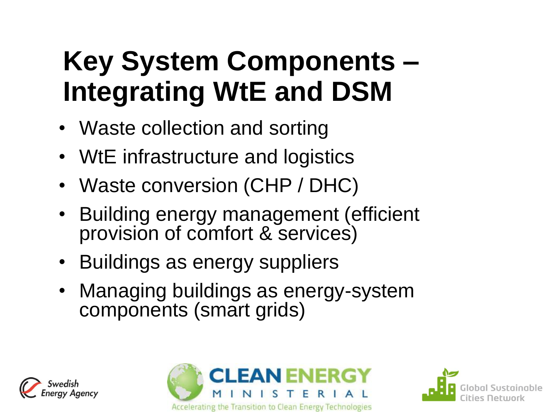## **Key System Components – Integrating WtE and DSM**

- Waste collection and sorting
- WtE infrastructure and logistics
- Waste conversion (CHP / DHC)
- Building energy management (efficient provision of comfort & services)
- Buildings as energy suppliers
- Managing buildings as energy-system components (smart grids)





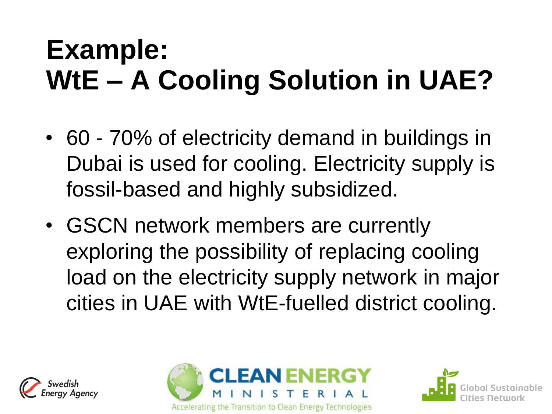## **Example: WtE – A Cooling Solution in UAE?**

- 60 70% of electricity demand in buildings in Dubai is used for cooling. Electricity supply is fossil-based and highly subsidized.
- GSCN network members are currently exploring the possibility of replacing cooling load on the electricity supply network in major cities in UAE with WtE-fuelled district cooling.





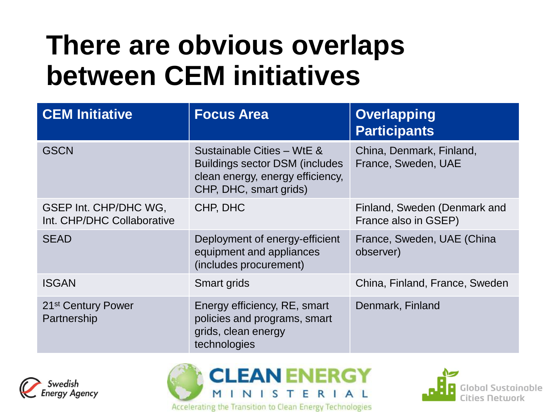### **There are obvious overlaps between CEM initiatives**

| <b>CEM Initiative</b>                               | <b>Focus Area</b>                                                                                                                  | <b>Overlapping</b><br><b>Participants</b>            |
|-----------------------------------------------------|------------------------------------------------------------------------------------------------------------------------------------|------------------------------------------------------|
| <b>GSCN</b>                                         | Sustainable Cities - WtE &<br><b>Buildings sector DSM (includes)</b><br>clean energy, energy efficiency,<br>CHP, DHC, smart grids) | China, Denmark, Finland,<br>France, Sweden, UAE      |
| GSEP Int. CHP/DHC WG,<br>Int. CHP/DHC Collaborative | CHP, DHC                                                                                                                           | Finland, Sweden (Denmark and<br>France also in GSEP) |
| <b>SEAD</b>                                         | Deployment of energy-efficient<br>equipment and appliances<br>(includes procurement)                                               | France, Sweden, UAE (China<br>observer)              |
| <b>ISGAN</b>                                        | Smart grids                                                                                                                        | China, Finland, France, Sweden                       |
| 21 <sup>st</sup> Century Power<br>Partnership       | Energy efficiency, RE, smart<br>policies and programs, smart<br>grids, clean energy<br>technologies                                | Denmark, Finland                                     |





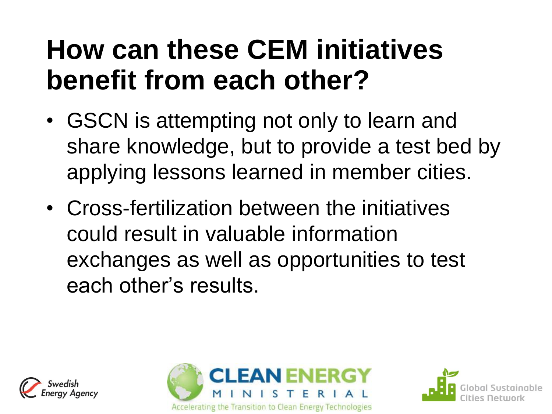### **How can these CEM initiatives benefit from each other?**

- GSCN is attempting not only to learn and share knowledge, but to provide a test bed by applying lessons learned in member cities.
- Cross-fertilization between the initiatives could result in valuable information exchanges as well as opportunities to test each other's results.





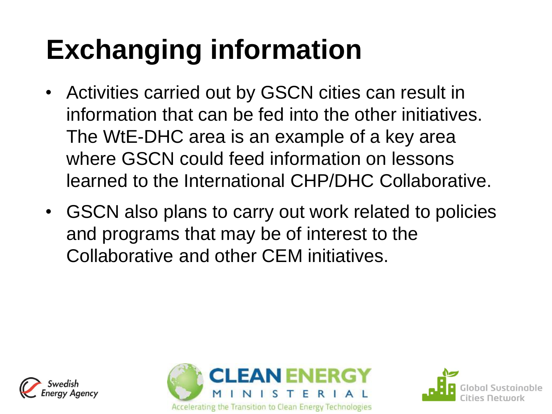# **Exchanging information**

- Activities carried out by GSCN cities can result in information that can be fed into the other initiatives. The WtE-DHC area is an example of a key area where GSCN could feed information on lessons learned to the International CHP/DHC Collaborative.
- GSCN also plans to carry out work related to policies and programs that may be of interest to the Collaborative and other CEM initiatives.





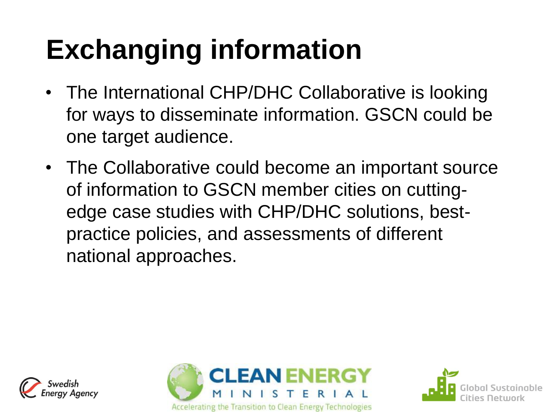# **Exchanging information**

- The International CHP/DHC Collaborative is looking for ways to disseminate information. GSCN could be one target audience.
- The Collaborative could become an important source of information to GSCN member cities on cuttingedge case studies with CHP/DHC solutions, bestpractice policies, and assessments of different national approaches.





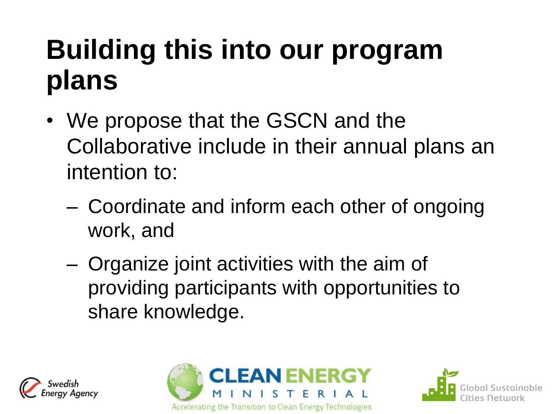# **Building this into our program plans**

- We propose that the GSCN and the Collaborative include in their annual plans an intention to:
	- Coordinate and inform each other of ongoing work, and
	- Organize joint activities with the aim of providing participants with opportunities to share knowledge.





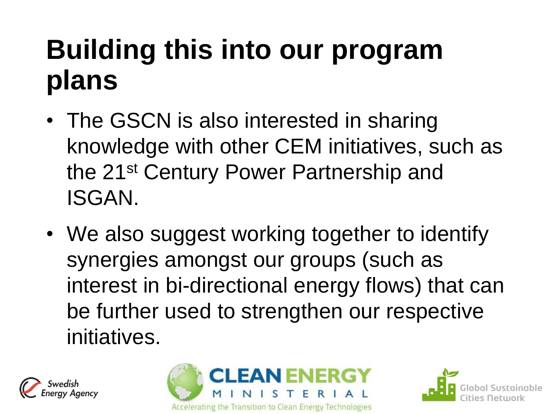# **Building this into our program plans**

- The GSCN is also interested in sharing knowledge with other CEM initiatives, such as the 21st Century Power Partnership and ISGAN.
- We also suggest working together to identify synergies amongst our groups (such as interest in bi-directional energy flows) that can be further used to strengthen our respective initiatives.